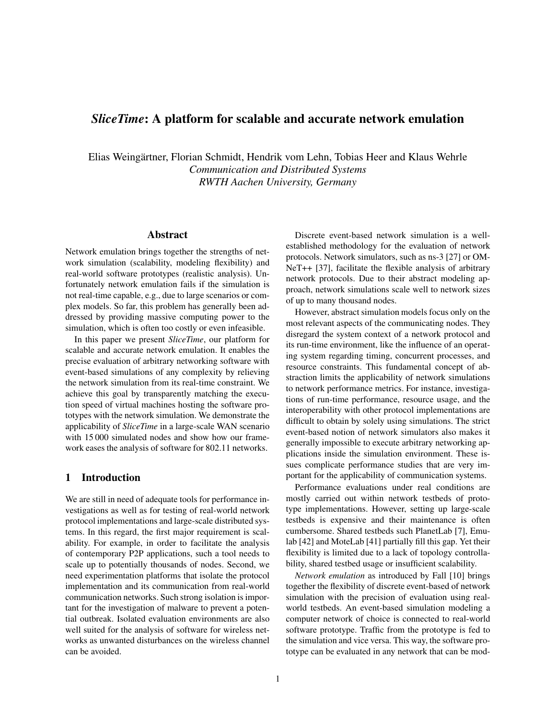# *SliceTime*: A platform for scalable and accurate network emulation

Elias Weingartner, Florian Schmidt, Hendrik vom Lehn, Tobias Heer and Klaus Wehrle ¨ *Communication and Distributed Systems RWTH Aachen University, Germany*

## Abstract

Network emulation brings together the strengths of network simulation (scalability, modeling flexibility) and real-world software prototypes (realistic analysis). Unfortunately network emulation fails if the simulation is not real-time capable, e.g., due to large scenarios or complex models. So far, this problem has generally been addressed by providing massive computing power to the simulation, which is often too costly or even infeasible.

In this paper we present *SliceTime*, our platform for scalable and accurate network emulation. It enables the precise evaluation of arbitrary networking software with event-based simulations of any complexity by relieving the network simulation from its real-time constraint. We achieve this goal by transparently matching the execution speed of virtual machines hosting the software prototypes with the network simulation. We demonstrate the applicability of *SliceTime* in a large-scale WAN scenario with 15 000 simulated nodes and show how our framework eases the analysis of software for 802.11 networks.

### 1 Introduction

We are still in need of adequate tools for performance investigations as well as for testing of real-world network protocol implementations and large-scale distributed systems. In this regard, the first major requirement is scalability. For example, in order to facilitate the analysis of contemporary P2P applications, such a tool needs to scale up to potentially thousands of nodes. Second, we need experimentation platforms that isolate the protocol implementation and its communication from real-world communication networks. Such strong isolation is important for the investigation of malware to prevent a potential outbreak. Isolated evaluation environments are also well suited for the analysis of software for wireless networks as unwanted disturbances on the wireless channel can be avoided.

Discrete event-based network simulation is a wellestablished methodology for the evaluation of network protocols. Network simulators, such as ns-3 [27] or OM-NeT++ [37], facilitate the flexible analysis of arbitrary network protocols. Due to their abstract modeling approach, network simulations scale well to network sizes of up to many thousand nodes.

However, abstract simulation models focus only on the most relevant aspects of the communicating nodes. They disregard the system context of a network protocol and its run-time environment, like the influence of an operating system regarding timing, concurrent processes, and resource constraints. This fundamental concept of abstraction limits the applicability of network simulations to network performance metrics. For instance, investigations of run-time performance, resource usage, and the interoperability with other protocol implementations are difficult to obtain by solely using simulations. The strict event-based notion of network simulators also makes it generally impossible to execute arbitrary networking applications inside the simulation environment. These issues complicate performance studies that are very important for the applicability of communication systems.

Performance evaluations under real conditions are mostly carried out within network testbeds of prototype implementations. However, setting up large-scale testbeds is expensive and their maintenance is often cumbersome. Shared testbeds such PlanetLab [7], Emulab [42] and MoteLab [41] partially fill this gap. Yet their flexibility is limited due to a lack of topology controllability, shared testbed usage or insufficient scalability.

*Network emulation* as introduced by Fall [10] brings together the flexibility of discrete event-based of network simulation with the precision of evaluation using realworld testbeds. An event-based simulation modeling a computer network of choice is connected to real-world software prototype. Traffic from the prototype is fed to the simulation and vice versa. This way, the software prototype can be evaluated in any network that can be mod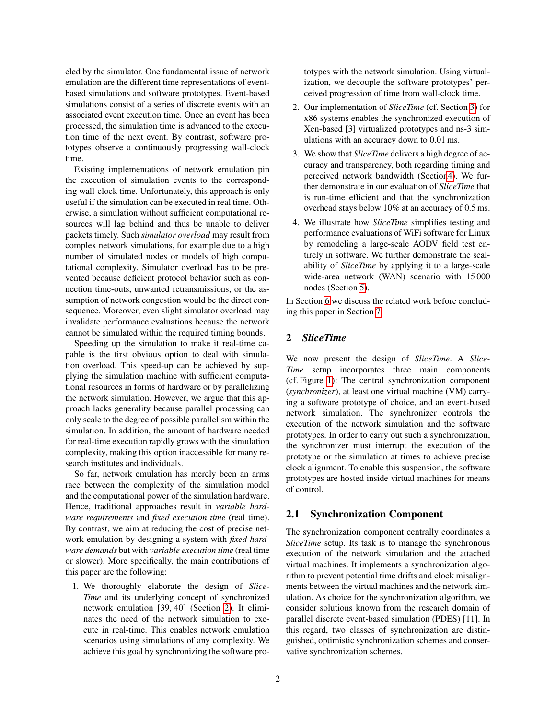eled by the simulator. One fundamental issue of network emulation are the different time representations of eventbased simulations and software prototypes. Event-based simulations consist of a series of discrete events with an associated event execution time. Once an event has been processed, the simulation time is advanced to the execution time of the next event. By contrast, software prototypes observe a continuously progressing wall-clock time.

Existing implementations of network emulation pin the execution of simulation events to the corresponding wall-clock time. Unfortunately, this approach is only useful if the simulation can be executed in real time. Otherwise, a simulation without sufficient computational resources will lag behind and thus be unable to deliver packets timely. Such *simulator overload* may result from complex network simulations, for example due to a high number of simulated nodes or models of high computational complexity. Simulator overload has to be prevented because deficient protocol behavior such as connection time-outs, unwanted retransmissions, or the assumption of network congestion would be the direct consequence. Moreover, even slight simulator overload may invalidate performance evaluations because the network cannot be simulated within the required timing bounds.

Speeding up the simulation to make it real-time capable is the first obvious option to deal with simulation overload. This speed-up can be achieved by supplying the simulation machine with sufficient computational resources in forms of hardware or by parallelizing the network simulation. However, we argue that this approach lacks generality because parallel processing can only scale to the degree of possible parallelism within the simulation. In addition, the amount of hardware needed for real-time execution rapidly grows with the simulation complexity, making this option inaccessible for many research institutes and individuals.

So far, network emulation has merely been an arms race between the complexity of the simulation model and the computational power of the simulation hardware. Hence, traditional approaches result in *variable hardware requirements* and *fixed execution time* (real time). By contrast, we aim at reducing the cost of precise network emulation by designing a system with *fixed hardware demands* but with *variable execution time* (real time or slower). More specifically, the main contributions of this paper are the following:

1. We thoroughly elaborate the design of *Slice-Time* and its underlying concept of synchronized network emulation [39, 40] (Section [2\)](#page-1-0). It eliminates the need of the network simulation to execute in real-time. This enables network emulation scenarios using simulations of any complexity. We achieve this goal by synchronizing the software prototypes with the network simulation. Using virtualization, we decouple the software prototypes' perceived progression of time from wall-clock time.

- 2. Our implementation of *SliceTime* (cf. Section [3\)](#page-3-0) for x86 systems enables the synchronized execution of Xen-based [3] virtualized prototypes and ns-3 simulations with an accuracy down to 0.01 ms.
- 3. We show that *SliceTime* delivers a high degree of accuracy and transparency, both regarding timing and perceived network bandwidth (Sectio[n4\)](#page-6-0). We further demonstrate in our evaluation of *SliceTime* that is run-time efficient and that the synchronization overhead stays below 10% at an accuracy of 0.5 ms.
- 4. We illustrate how *SliceTime* simplifies testing and performance evaluations of WiFi software for Linux by remodeling a large-scale AODV field test entirely in software. We further demonstrate the scalability of *SliceTime* by applying it to a large-scale wide-area network (WAN) scenario with 15 000 nodes (Section [5\)](#page-9-0).

In Section [6](#page-11-0) we discuss the related work before concluding this paper in Section [7.](#page-12-0)

### <span id="page-1-0"></span>2 *SliceTime*

We now present the design of *SliceTime*. A *Slice-Time* setup incorporates three main components (cf. Figure [1\)](#page-2-0): The central synchronization component (*synchronizer*), at least one virtual machine (VM) carrying a software prototype of choice, and an event-based network simulation. The synchronizer controls the execution of the network simulation and the software prototypes. In order to carry out such a synchronization, the synchronizer must interrupt the execution of the prototype or the simulation at times to achieve precise clock alignment. To enable this suspension, the software prototypes are hosted inside virtual machines for means of control.

#### 2.1 Synchronization Component

The synchronization component centrally coordinates a *SliceTime* setup. Its task is to manage the synchronous execution of the network simulation and the attached virtual machines. It implements a synchronization algorithm to prevent potential time drifts and clock misalignments between the virtual machines and the network simulation. As choice for the synchronization algorithm, we consider solutions known from the research domain of parallel discrete event-based simulation (PDES) [11]. In this regard, two classes of synchronization are distinguished, optimistic synchronization schemes and conservative synchronization schemes.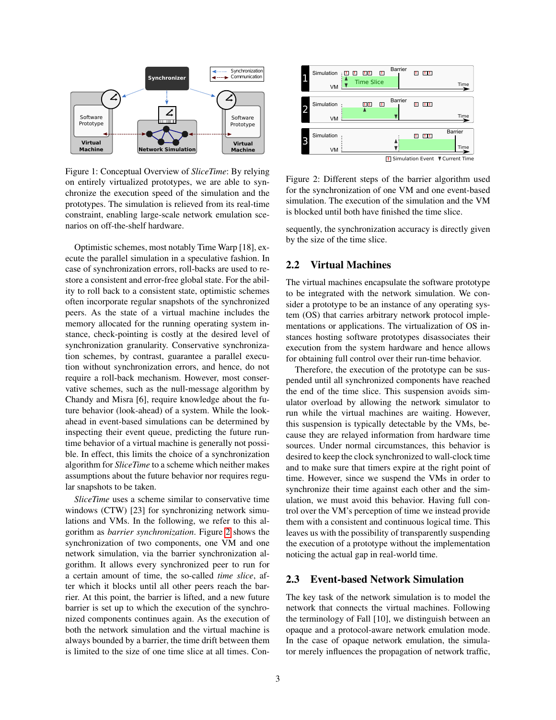

<span id="page-2-0"></span>Figure 1: Conceptual Overview of *SliceTime*: By relying on entirely virtualized prototypes, we are able to synchronize the execution speed of the simulation and the prototypes. The simulation is relieved from its real-time constraint, enabling large-scale network emulation scenarios on off-the-shelf hardware.

Optimistic schemes, most notably Time Warp [18], execute the parallel simulation in a speculative fashion. In case of synchronization errors, roll-backs are used to restore a consistent and error-free global state. For the ability to roll back to a consistent state, optimistic schemes often incorporate regular snapshots of the synchronized peers. As the state of a virtual machine includes the memory allocated for the running operating system instance, check-pointing is costly at the desired level of synchronization granularity. Conservative synchronization schemes, by contrast, guarantee a parallel execution without synchronization errors, and hence, do not require a roll-back mechanism. However, most conservative schemes, such as the null-message algorithm by Chandy and Misra [6], require knowledge about the future behavior (look-ahead) of a system. While the lookahead in event-based simulations can be determined by inspecting their event queue, predicting the future runtime behavior of a virtual machine is generally not possible. In effect, this limits the choice of a synchronization algorithm for *SliceTime* to a scheme which neither makes assumptions about the future behavior nor requires regular snapshots to be taken.

*SliceTime* uses a scheme similar to conservative time windows (CTW) [23] for synchronizing network simulations and VMs. In the following, we refer to this algorithm as *barrier synchronization*. Figure [2](#page-2-1) shows the synchronization of two components, one VM and one network simulation, via the barrier synchronization algorithm. It allows every synchronized peer to run for a certain amount of time, the so-called *time slice*, after which it blocks until all other peers reach the barrier. At this point, the barrier is lifted, and a new future barrier is set up to which the execution of the synchronized components continues again. As the execution of both the network simulation and the virtual machine is always bounded by a barrier, the time drift between them is limited to the size of one time slice at all times. Con-



<span id="page-2-1"></span>Figure 2: Different steps of the barrier algorithm used for the synchronization of one VM and one event-based simulation. The execution of the simulation and the VM is blocked until both have finished the time slice.

sequently, the synchronization accuracy is directly given by the size of the time slice.

# 2.2 Virtual Machines

The virtual machines encapsulate the software prototype to be integrated with the network simulation. We consider a prototype to be an instance of any operating system (OS) that carries arbitrary network protocol implementations or applications. The virtualization of OS instances hosting software prototypes disassociates their execution from the system hardware and hence allows for obtaining full control over their run-time behavior.

Therefore, the execution of the prototype can be suspended until all synchronized components have reached the end of the time slice. This suspension avoids simulator overload by allowing the network simulator to run while the virtual machines are waiting. However, this suspension is typically detectable by the VMs, because they are relayed information from hardware time sources. Under normal circumstances, this behavior is desired to keep the clock synchronized to wall-clock time and to make sure that timers expire at the right point of time. However, since we suspend the VMs in order to synchronize their time against each other and the simulation, we must avoid this behavior. Having full control over the VM's perception of time we instead provide them with a consistent and continuous logical time. This leaves us with the possibility of transparently suspending the execution of a prototype without the implementation noticing the actual gap in real-world time.

# 2.3 Event-based Network Simulation

The key task of the network simulation is to model the network that connects the virtual machines. Following the terminology of Fall [10], we distinguish between an opaque and a protocol-aware network emulation mode. In the case of opaque network emulation, the simulator merely influences the propagation of network traffic,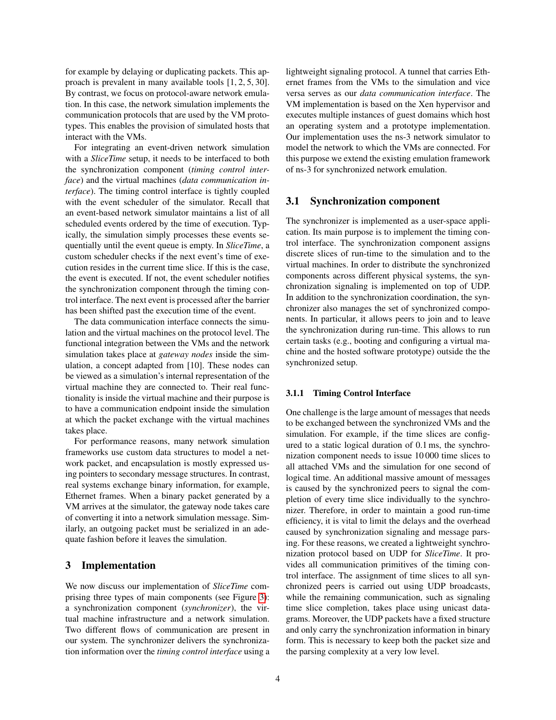for example by delaying or duplicating packets. This approach is prevalent in many available tools [1, 2, 5, 30]. By contrast, we focus on protocol-aware network emulation. In this case, the network simulation implements the communication protocols that are used by the VM prototypes. This enables the provision of simulated hosts that interact with the VMs.

For integrating an event-driven network simulation with a *SliceTime* setup, it needs to be interfaced to both the synchronization component (*timing control interface*) and the virtual machines (*data communication interface*). The timing control interface is tightly coupled with the event scheduler of the simulator. Recall that an event-based network simulator maintains a list of all scheduled events ordered by the time of execution. Typically, the simulation simply processes these events sequentially until the event queue is empty. In *SliceTime*, a custom scheduler checks if the next event's time of execution resides in the current time slice. If this is the case, the event is executed. If not, the event scheduler notifies the synchronization component through the timing control interface. The next event is processed after the barrier has been shifted past the execution time of the event.

The data communication interface connects the simulation and the virtual machines on the protocol level. The functional integration between the VMs and the network simulation takes place at *gateway nodes* inside the simulation, a concept adapted from [10]. These nodes can be viewed as a simulation's internal representation of the virtual machine they are connected to. Their real functionality is inside the virtual machine and their purpose is to have a communication endpoint inside the simulation at which the packet exchange with the virtual machines takes place.

For performance reasons, many network simulation frameworks use custom data structures to model a network packet, and encapsulation is mostly expressed using pointers to secondary message structures. In contrast, real systems exchange binary information, for example, Ethernet frames. When a binary packet generated by a VM arrives at the simulator, the gateway node takes care of converting it into a network simulation message. Similarly, an outgoing packet must be serialized in an adequate fashion before it leaves the simulation.

### <span id="page-3-0"></span>3 Implementation

We now discuss our implementation of *SliceTime* comprising three types of main components (see Figure [3\)](#page-4-0): a synchronization component (*synchronizer*), the virtual machine infrastructure and a network simulation. Two different flows of communication are present in our system. The synchronizer delivers the synchronization information over the *timing control interface* using a lightweight signaling protocol. A tunnel that carries Ethernet frames from the VMs to the simulation and vice versa serves as our *data communication interface*. The VM implementation is based on the Xen hypervisor and executes multiple instances of guest domains which host an operating system and a prototype implementation. Our implementation uses the ns-3 network simulator to model the network to which the VMs are connected. For this purpose we extend the existing emulation framework of ns-3 for synchronized network emulation.

### 3.1 Synchronization component

The synchronizer is implemented as a user-space application. Its main purpose is to implement the timing control interface. The synchronization component assigns discrete slices of run-time to the simulation and to the virtual machines. In order to distribute the synchronized components across different physical systems, the synchronization signaling is implemented on top of UDP. In addition to the synchronization coordination, the synchronizer also manages the set of synchronized components. In particular, it allows peers to join and to leave the synchronization during run-time. This allows to run certain tasks (e.g., booting and configuring a virtual machine and the hosted software prototype) outside the the synchronized setup.

#### <span id="page-3-1"></span>3.1.1 Timing Control Interface

One challenge is the large amount of messages that needs to be exchanged between the synchronized VMs and the simulation. For example, if the time slices are configured to a static logical duration of 0.1 ms, the synchronization component needs to issue 10 000 time slices to all attached VMs and the simulation for one second of logical time. An additional massive amount of messages is caused by the synchronized peers to signal the completion of every time slice individually to the synchronizer. Therefore, in order to maintain a good run-time efficiency, it is vital to limit the delays and the overhead caused by synchronization signaling and message parsing. For these reasons, we created a lightweight synchronization protocol based on UDP for *SliceTime*. It provides all communication primitives of the timing control interface. The assignment of time slices to all synchronized peers is carried out using UDP broadcasts, while the remaining communication, such as signaling time slice completion, takes place using unicast datagrams. Moreover, the UDP packets have a fixed structure and only carry the synchronization information in binary form. This is necessary to keep both the packet size and the parsing complexity at a very low level.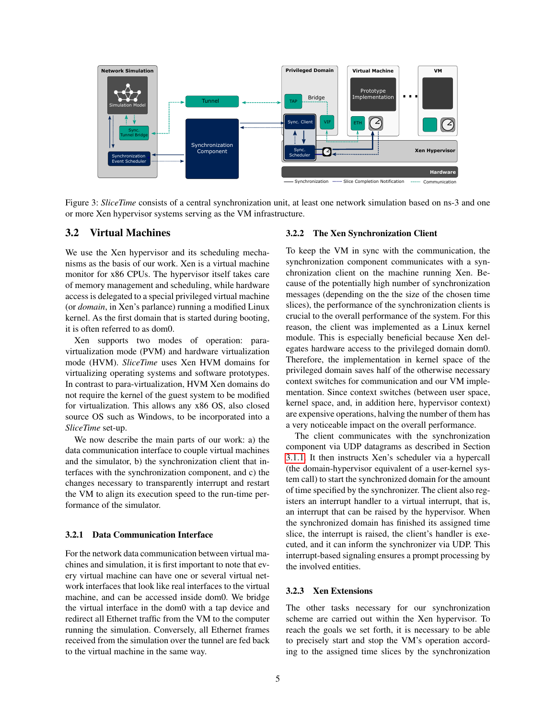

<span id="page-4-0"></span>Figure 3: *SliceTime* consists of a central synchronization unit, at least one network simulation based on ns-3 and one or more Xen hypervisor systems serving as the VM infrastructure.

#### 3.2 Virtual Machines

We use the Xen hypervisor and its scheduling mechanisms as the basis of our work. Xen is a virtual machine monitor for x86 CPUs. The hypervisor itself takes care of memory management and scheduling, while hardware access is delegated to a special privileged virtual machine (or *domain*, in Xen's parlance) running a modified Linux kernel. As the first domain that is started during booting, it is often referred to as dom0.

Xen supports two modes of operation: paravirtualization mode (PVM) and hardware virtualization mode (HVM). *SliceTime* uses Xen HVM domains for virtualizing operating systems and software prototypes. In contrast to para-virtualization, HVM Xen domains do not require the kernel of the guest system to be modified for virtualization. This allows any x86 OS, also closed source OS such as Windows, to be incorporated into a *SliceTime* set-up.

We now describe the main parts of our work: a) the data communication interface to couple virtual machines and the simulator, b) the synchronization client that interfaces with the synchronization component, and c) the changes necessary to transparently interrupt and restart the VM to align its execution speed to the run-time performance of the simulator.

#### <span id="page-4-1"></span>3.2.1 Data Communication Interface

For the network data communication between virtual machines and simulation, it is first important to note that every virtual machine can have one or several virtual network interfaces that look like real interfaces to the virtual machine, and can be accessed inside dom0. We bridge the virtual interface in the dom0 with a tap device and redirect all Ethernet traffic from the VM to the computer running the simulation. Conversely, all Ethernet frames received from the simulation over the tunnel are fed back to the virtual machine in the same way.

#### 3.2.2 The Xen Synchronization Client

To keep the VM in sync with the communication, the synchronization component communicates with a synchronization client on the machine running Xen. Because of the potentially high number of synchronization messages (depending on the the size of the chosen time slices), the performance of the synchronization clients is crucial to the overall performance of the system. For this reason, the client was implemented as a Linux kernel module. This is especially beneficial because Xen delegates hardware access to the privileged domain dom0. Therefore, the implementation in kernel space of the privileged domain saves half of the otherwise necessary context switches for communication and our VM implementation. Since context switches (between user space, kernel space, and, in addition here, hypervisor context) are expensive operations, halving the number of them has a very noticeable impact on the overall performance.

The client communicates with the synchronization component via UDP datagrams as described in Section [3.1.1.](#page-3-1) It then instructs Xen's scheduler via a hypercall (the domain-hypervisor equivalent of a user-kernel system call) to start the synchronized domain for the amount of time specified by the synchronizer. The client also registers an interrupt handler to a virtual interrupt, that is, an interrupt that can be raised by the hypervisor. When the synchronized domain has finished its assigned time slice, the interrupt is raised, the client's handler is executed, and it can inform the synchronizer via UDP. This interrupt-based signaling ensures a prompt processing by the involved entities.

### 3.2.3 Xen Extensions

The other tasks necessary for our synchronization scheme are carried out within the Xen hypervisor. To reach the goals we set forth, it is necessary to be able to precisely start and stop the VM's operation according to the assigned time slices by the synchronization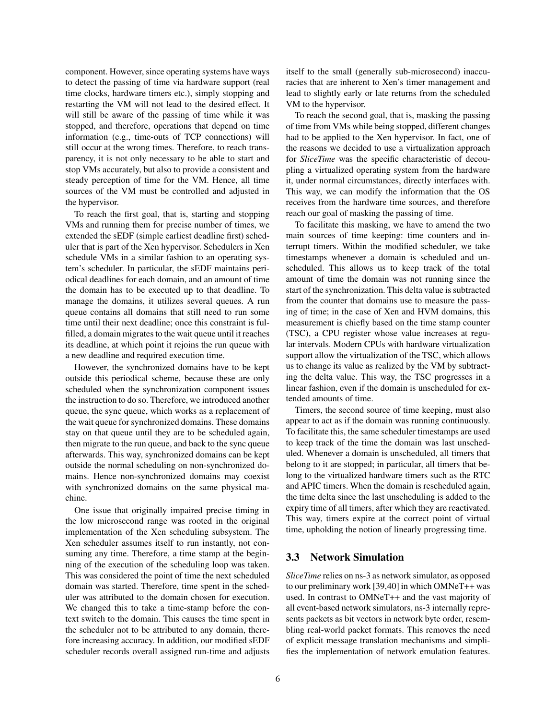component. However, since operating systems have ways to detect the passing of time via hardware support (real time clocks, hardware timers etc.), simply stopping and restarting the VM will not lead to the desired effect. It will still be aware of the passing of time while it was stopped, and therefore, operations that depend on time information (e.g., time-outs of TCP connections) will still occur at the wrong times. Therefore, to reach transparency, it is not only necessary to be able to start and stop VMs accurately, but also to provide a consistent and steady perception of time for the VM. Hence, all time sources of the VM must be controlled and adjusted in the hypervisor.

To reach the first goal, that is, starting and stopping VMs and running them for precise number of times, we extended the sEDF (simple earliest deadline first) scheduler that is part of the Xen hypervisor. Schedulers in Xen schedule VMs in a similar fashion to an operating system's scheduler. In particular, the sEDF maintains periodical deadlines for each domain, and an amount of time the domain has to be executed up to that deadline. To manage the domains, it utilizes several queues. A run queue contains all domains that still need to run some time until their next deadline; once this constraint is fulfilled, a domain migrates to the wait queue until it reaches its deadline, at which point it rejoins the run queue with a new deadline and required execution time.

However, the synchronized domains have to be kept outside this periodical scheme, because these are only scheduled when the synchronization component issues the instruction to do so. Therefore, we introduced another queue, the sync queue, which works as a replacement of the wait queue for synchronized domains. These domains stay on that queue until they are to be scheduled again, then migrate to the run queue, and back to the sync queue afterwards. This way, synchronized domains can be kept outside the normal scheduling on non-synchronized domains. Hence non-synchronized domains may coexist with synchronized domains on the same physical machine.

One issue that originally impaired precise timing in the low microsecond range was rooted in the original implementation of the Xen scheduling subsystem. The Xen scheduler assumes itself to run instantly, not consuming any time. Therefore, a time stamp at the beginning of the execution of the scheduling loop was taken. This was considered the point of time the next scheduled domain was started. Therefore, time spent in the scheduler was attributed to the domain chosen for execution. We changed this to take a time-stamp before the context switch to the domain. This causes the time spent in the scheduler not to be attributed to any domain, therefore increasing accuracy. In addition, our modified sEDF scheduler records overall assigned run-time and adjusts itself to the small (generally sub-microsecond) inaccuracies that are inherent to Xen's timer management and lead to slightly early or late returns from the scheduled VM to the hypervisor.

To reach the second goal, that is, masking the passing of time from VMs while being stopped, different changes had to be applied to the Xen hypervisor. In fact, one of the reasons we decided to use a virtualization approach for *SliceTime* was the specific characteristic of decoupling a virtualized operating system from the hardware it, under normal circumstances, directly interfaces with. This way, we can modify the information that the OS receives from the hardware time sources, and therefore reach our goal of masking the passing of time.

To facilitate this masking, we have to amend the two main sources of time keeping: time counters and interrupt timers. Within the modified scheduler, we take timestamps whenever a domain is scheduled and unscheduled. This allows us to keep track of the total amount of time the domain was not running since the start of the synchronization. This delta value is subtracted from the counter that domains use to measure the passing of time; in the case of Xen and HVM domains, this measurement is chiefly based on the time stamp counter (TSC), a CPU register whose value increases at regular intervals. Modern CPUs with hardware virtualization support allow the virtualization of the TSC, which allows us to change its value as realized by the VM by subtracting the delta value. This way, the TSC progresses in a linear fashion, even if the domain is unscheduled for extended amounts of time.

Timers, the second source of time keeping, must also appear to act as if the domain was running continuously. To facilitate this, the same scheduler timestamps are used to keep track of the time the domain was last unscheduled. Whenever a domain is unscheduled, all timers that belong to it are stopped; in particular, all timers that belong to the virtualized hardware timers such as the RTC and APIC timers. When the domain is rescheduled again, the time delta since the last unscheduling is added to the expiry time of all timers, after which they are reactivated. This way, timers expire at the correct point of virtual time, upholding the notion of linearly progressing time.

### 3.3 Network Simulation

*SliceTime* relies on ns-3 as network simulator, as opposed to our preliminary work [39,40] in which OMNeT++ was used. In contrast to OMNeT++ and the vast majority of all event-based network simulators, ns-3 internally represents packets as bit vectors in network byte order, resembling real-world packet formats. This removes the need of explicit message translation mechanisms and simplifies the implementation of network emulation features.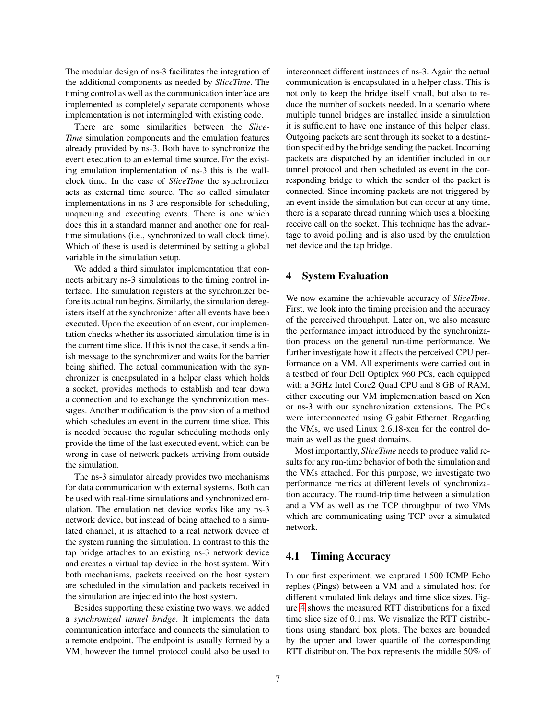The modular design of ns-3 facilitates the integration of the additional components as needed by *SliceTime*. The timing control as well as the communication interface are implemented as completely separate components whose implementation is not intermingled with existing code.

There are some similarities between the *Slice-Time* simulation components and the emulation features already provided by ns-3. Both have to synchronize the event execution to an external time source. For the existing emulation implementation of ns-3 this is the wallclock time. In the case of *SliceTime* the synchronizer acts as external time source. The so called simulator implementations in ns-3 are responsible for scheduling, unqueuing and executing events. There is one which does this in a standard manner and another one for realtime simulations (i.e., synchronized to wall clock time). Which of these is used is determined by setting a global variable in the simulation setup.

We added a third simulator implementation that connects arbitrary ns-3 simulations to the timing control interface. The simulation registers at the synchronizer before its actual run begins. Similarly, the simulation deregisters itself at the synchronizer after all events have been executed. Upon the execution of an event, our implementation checks whether its associated simulation time is in the current time slice. If this is not the case, it sends a finish message to the synchronizer and waits for the barrier being shifted. The actual communication with the synchronizer is encapsulated in a helper class which holds a socket, provides methods to establish and tear down a connection and to exchange the synchronization messages. Another modification is the provision of a method which schedules an event in the current time slice. This is needed because the regular scheduling methods only provide the time of the last executed event, which can be wrong in case of network packets arriving from outside the simulation.

The ns-3 simulator already provides two mechanisms for data communication with external systems. Both can be used with real-time simulations and synchronized emulation. The emulation net device works like any ns-3 network device, but instead of being attached to a simulated channel, it is attached to a real network device of the system running the simulation. In contrast to this the tap bridge attaches to an existing ns-3 network device and creates a virtual tap device in the host system. With both mechanisms, packets received on the host system are scheduled in the simulation and packets received in the simulation are injected into the host system.

Besides supporting these existing two ways, we added a *synchronized tunnel bridge*. It implements the data communication interface and connects the simulation to a remote endpoint. The endpoint is usually formed by a VM, however the tunnel protocol could also be used to interconnect different instances of ns-3. Again the actual communication is encapsulated in a helper class. This is not only to keep the bridge itself small, but also to reduce the number of sockets needed. In a scenario where multiple tunnel bridges are installed inside a simulation it is sufficient to have one instance of this helper class. Outgoing packets are sent through its socket to a destination specified by the bridge sending the packet. Incoming packets are dispatched by an identifier included in our tunnel protocol and then scheduled as event in the corresponding bridge to which the sender of the packet is connected. Since incoming packets are not triggered by an event inside the simulation but can occur at any time, there is a separate thread running which uses a blocking receive call on the socket. This technique has the advantage to avoid polling and is also used by the emulation net device and the tap bridge.

### <span id="page-6-0"></span>4 System Evaluation

We now examine the achievable accuracy of *SliceTime*. First, we look into the timing precision and the accuracy of the perceived throughput. Later on, we also measure the performance impact introduced by the synchronization process on the general run-time performance. We further investigate how it affects the perceived CPU performance on a VM. All experiments were carried out in a testbed of four Dell Optiplex 960 PCs, each equipped with a 3GHz Intel Core2 Quad CPU and 8 GB of RAM, either executing our VM implementation based on Xen or ns-3 with our synchronization extensions. The PCs were interconnected using Gigabit Ethernet. Regarding the VMs, we used Linux 2.6.18-xen for the control domain as well as the guest domains.

Most importantly, *SliceTime* needs to produce valid results for any run-time behavior of both the simulation and the VMs attached. For this purpose, we investigate two performance metrics at different levels of synchronization accuracy. The round-trip time between a simulation and a VM as well as the TCP throughput of two VMs which are communicating using TCP over a simulated network.

#### 4.1 Timing Accuracy

In our first experiment, we captured 1 500 ICMP Echo replies (Pings) between a VM and a simulated host for different simulated link delays and time slice sizes. Figure [4](#page-7-0) shows the measured RTT distributions for a fixed time slice size of 0.1 ms. We visualize the RTT distributions using standard box plots. The boxes are bounded by the upper and lower quartile of the corresponding RTT distribution. The box represents the middle 50% of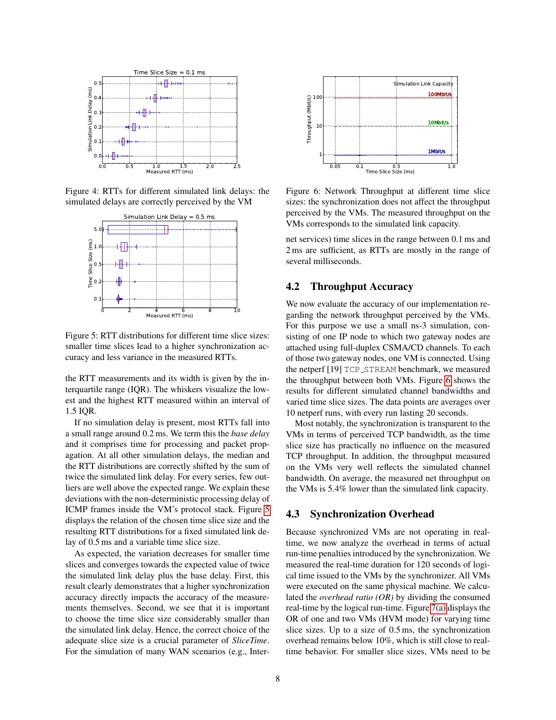

Figure 4: RTTs for different simulated link delays: the simulated delays are correctly perceived by the VM

<span id="page-7-0"></span>

<span id="page-7-1"></span>Figure 5: RTT distributions for different time slice sizes: smaller time slices lead to a higher synchronization accuracy and less variance in the measured RTTs.

the RTT measurements and its width is given by the interquartile range (IQR). The whiskers visualize the lowest and the highest RTT measured within an interval of 1.5 IQR.

If no simulation delay is present, most RTTs fall into a small range around 0.2 ms. We term this the *base delay* and it comprises time for processing and packet propagation. At all other simulation delays, the median and the RTT distributions are correctly shifted by the sum of twice the simulated link delay. For every series, few outliers are well above the expected range. We explain these deviations with the non-deterministic processing delay of ICMP frames inside the VM's protocol stack. Figure [5](#page-7-1) displays the relation of the chosen time slice size and the resulting RTT distributions for a fixed simulated link delay of 0.5 ms and a variable time slice size.

As expected, the variation decreases for smaller time slices and converges towards the expected value of twice the simulated link delay plus the base delay. First, this result clearly demonstrates that a higher synchronization accuracy directly impacts the accuracy of the measurements themselves. Second, we see that it is important to choose the time slice size considerably smaller than the simulated link delay. Hence, the correct choice of the adequate slice size is a crucial parameter of *SliceTime*. For the simulation of many WAN scenarios (e.g., Inter-



<span id="page-7-2"></span>Figure 6: Network Throughput at different time slice sizes: the synchronization does not affect the throughput perceived by the VMs. The measured throughput on the VMs corresponds to the simulated link capacity.

net services) time slices in the range between 0.1 ms and 2 ms are sufficient, as RTTs are mostly in the range of several milliseconds.

### 4.2 Throughput Accuracy

We now evaluate the accuracy of our implementation regarding the network throughput perceived by the VMs. For this purpose we use a small ns-3 simulation, consisting of one IP node to which two gateway nodes are attached using full-duplex CSMA/CD channels. To each of those two gateway nodes, one VM is connected. Using the netperf [19] TCP\_STREAM benchmark, we measured the throughput between both VMs. Figure [6](#page-7-2) shows the results for different simulated channel bandwidths and varied time slice sizes. The data points are averages over 10 netperf runs, with every run lasting 20 seconds.

Most notably, the synchronization is transparent to the VMs in terms of perceived TCP bandwidth, as the time slice size has practically no influence on the measured TCP throughput. In addition, the throughput measured on the VMs very well reflects the simulated channel bandwidth. On average, the measured net throughput on the VMs is 5.4% lower than the simulated link capacity.

#### 4.3 Synchronization Overhead

Because synchronized VMs are not operating in realtime, we now analyze the overhead in terms of actual run-time penalties introduced by the synchronization. We measured the real-time duration for 120 seconds of logical time issued to the VMs by the synchronizer. All VMs were executed on the same physical machine. We calculated the *overhead ratio (OR)* by dividing the consumed real-time by the logical run-time. Figure [7\(a\)](#page-8-0) displays the OR of one and two VMs (HVM mode) for varying time slice sizes. Up to a size of 0.5 ms, the synchronization overhead remains below 10%, which is still close to realtime behavior. For smaller slice sizes, VMs need to be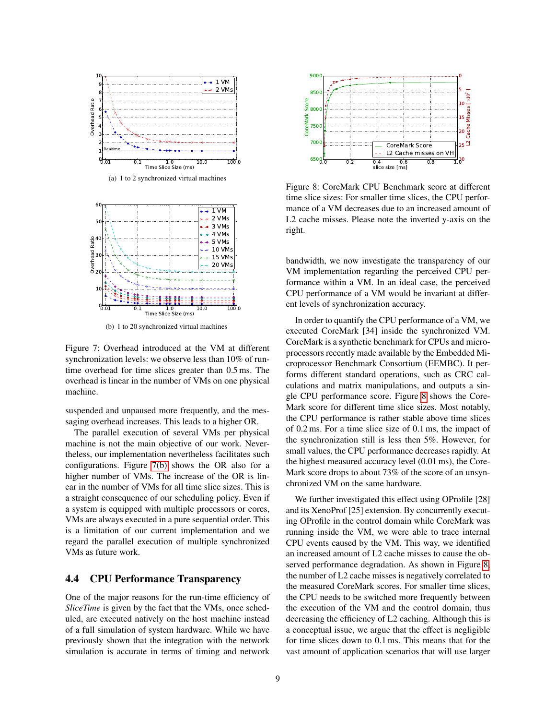<span id="page-8-0"></span>

(a) 1 to 2 synchronized virtual machines



<span id="page-8-1"></span>(b) 1 to 20 synchronized virtual machines

Figure 7: Overhead introduced at the VM at different synchronization levels: we observe less than 10% of runtime overhead for time slices greater than 0.5 ms. The overhead is linear in the number of VMs on one physical machine.

suspended and unpaused more frequently, and the messaging overhead increases. This leads to a higher OR.

The parallel execution of several VMs per physical machine is not the main objective of our work. Nevertheless, our implementation nevertheless facilitates such configurations. Figure [7\(b\)](#page-8-1) shows the OR also for a higher number of VMs. The increase of the OR is linear in the number of VMs for all time slice sizes. This is a straight consequence of our scheduling policy. Even if a system is equipped with multiple processors or cores, VMs are always executed in a pure sequential order. This is a limitation of our current implementation and we regard the parallel execution of multiple synchronized VMs as future work.

# 4.4 CPU Performance Transparency

One of the major reasons for the run-time efficiency of *SliceTime* is given by the fact that the VMs, once scheduled, are executed natively on the host machine instead of a full simulation of system hardware. While we have previously shown that the integration with the network simulation is accurate in terms of timing and network



<span id="page-8-2"></span>Figure 8: CoreMark CPU Benchmark score at different time slice sizes: For smaller time slices, the CPU performance of a VM decreases due to an increased amount of L2 cache misses. Please note the inverted y-axis on the right.

bandwidth, we now investigate the transparency of our VM implementation regarding the perceived CPU performance within a VM. In an ideal case, the perceived CPU performance of a VM would be invariant at different levels of synchronization accuracy.

In order to quantify the CPU performance of a VM, we executed CoreMark [34] inside the synchronized VM. CoreMark is a synthetic benchmark for CPUs and microprocessors recently made available by the Embedded Microprocessor Benchmark Consortium (EEMBC). It performs different standard operations, such as CRC calculations and matrix manipulations, and outputs a single CPU performance score. Figure [8](#page-8-2) shows the Core-Mark score for different time slice sizes. Most notably, the CPU performance is rather stable above time slices of 0.2 ms. For a time slice size of 0.1 ms, the impact of the synchronization still is less then 5%. However, for small values, the CPU performance decreases rapidly. At the highest measured accuracy level (0.01 ms), the Core-Mark score drops to about 73% of the score of an unsynchronized VM on the same hardware.

We further investigated this effect using OProfile [28] and its XenoProf [25] extension. By concurrently executing OProfile in the control domain while CoreMark was running inside the VM, we were able to trace internal CPU events caused by the VM. This way, we identified an increased amount of L2 cache misses to cause the observed performance degradation. As shown in Figure [8,](#page-8-2) the number of L2 cache misses is negatively correlated to the measured CoreMark scores. For smaller time slices, the CPU needs to be switched more frequently between the execution of the VM and the control domain, thus decreasing the efficiency of L2 caching. Although this is a conceptual issue, we argue that the effect is negligible for time slices down to 0.1 ms. This means that for the vast amount of application scenarios that will use larger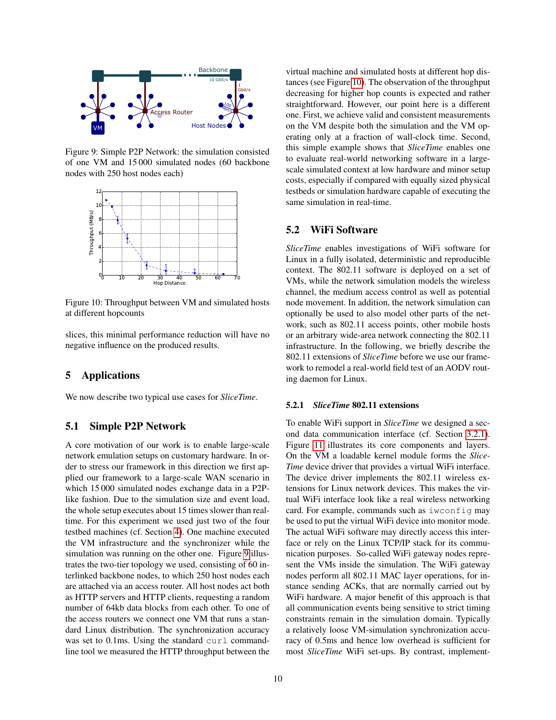

<span id="page-9-1"></span>Figure 9: Simple P2P Network: the simulation consisted of one VM and 15 000 simulated nodes (60 backbone nodes with 250 host nodes each)



<span id="page-9-2"></span>Figure 10: Throughput between VM and simulated hosts at different hopcounts

slices, this minimal performance reduction will have no negative influence on the produced results.

# <span id="page-9-0"></span>5 Applications

We now describe two typical use cases for *SliceTime*.

# 5.1 Simple P2P Network

A core motivation of our work is to enable large-scale network emulation setups on customary hardware. In order to stress our framework in this direction we first applied our framework to a large-scale WAN scenario in which 15 000 simulated nodes exchange data in a P2Plike fashion. Due to the simulation size and event load, the whole setup executes about 15 times slower than realtime. For this experiment we used just two of the four testbed machines (cf. Section [4\)](#page-6-0). One machine executed the VM infrastructure and the synchronizer while the simulation was running on the other one. Figure [9](#page-9-1) illustrates the two-tier topology we used, consisting of 60 interlinked backbone nodes, to which 250 host nodes each are attached via an access router. All host nodes act both as HTTP servers and HTTP clients, requesting a random number of 64kb data blocks from each other. To one of the access routers we connect one VM that runs a standard Linux distribution. The synchronization accuracy was set to 0.1ms. Using the standard curl commandline tool we measured the HTTP throughput between the virtual machine and simulated hosts at different hop distances (see Figure [10\)](#page-9-2). The observation of the throughput decreasing for higher hop counts is expected and rather straightforward. However, our point here is a different one. First, we achieve valid and consistent measurements on the VM despite both the simulation and the VM operating only at a fraction of wall-clock time. Second, this simple example shows that *SliceTime* enables one to evaluate real-world networking software in a largescale simulated context at low hardware and minor setup costs, especially if compared with equally sized physical testbeds or simulation hardware capable of executing the same simulation in real-time.

## 5.2 WiFi Software

*SliceTime* enables investigations of WiFi software for Linux in a fully isolated, deterministic and reproducible context. The 802.11 software is deployed on a set of VMs, while the network simulation models the wireless channel, the medium access control as well as potential node movement. In addition, the network simulation can optionally be used to also model other parts of the network, such as 802.11 access points, other mobile hosts or an arbitrary wide-area network connecting the 802.11 infrastructure. In the following, we briefly describe the 802.11 extensions of *SliceTime* before we use our framework to remodel a real-world field test of an AODV routing daemon for Linux.

#### 5.2.1 *SliceTime* 802.11 extensions

To enable WiFi support in *SliceTime* we designed a second data communication interface (cf. Section [3.2.1\)](#page-4-1). Figure [11](#page-10-0) illustrates its core components and layers. On the VM a loadable kernel module forms the *Slice-Time* device driver that provides a virtual WiFi interface. The device driver implements the 802.11 wireless extensions for Linux network devices. This makes the virtual WiFi interface look like a real wireless networking card. For example, commands such as iwconfig may be used to put the virtual WiFi device into monitor mode. The actual WiFi software may directly access this interface or rely on the Linux TCP/IP stack for its communication purposes. So-called WiFi gateway nodes represent the VMs inside the simulation. The WiFi gateway nodes perform all 802.11 MAC layer operations, for instance sending ACKs, that are normally carried out by WiFi hardware. A major benefit of this approach is that all communication events being sensitive to strict timing constraints remain in the simulation domain. Typically a relatively loose VM-simulation synchronization accuracy of 0.5ms and hence low overhead is sufficient for most *SliceTime* WiFi set-ups. By contrast, implement-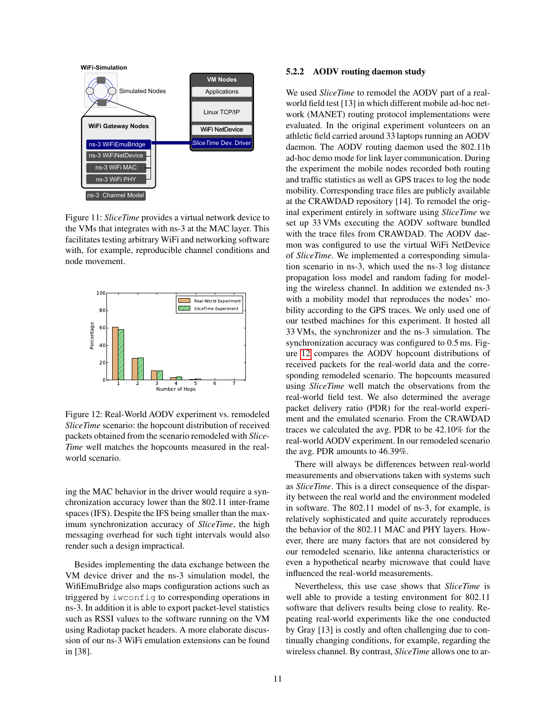

<span id="page-10-0"></span>Figure 11: *SliceTime* provides a virtual network device to the VMs that integrates with ns-3 at the MAC layer. This facilitates testing arbitrary WiFi and networking software with, for example, reproducible channel conditions and node movement.



<span id="page-10-1"></span>Figure 12: Real-World AODV experiment vs. remodeled *SliceTime* scenario: the hopcount distribution of received packets obtained from the scenario remodeled with *Slice-Time* well matches the hopcounts measured in the realworld scenario.

ing the MAC behavior in the driver would require a synchronization accuracy lower than the 802.11 inter-frame spaces (IFS). Despite the IFS being smaller than the maximum synchronization accuracy of *SliceTime*, the high messaging overhead for such tight intervals would also render such a design impractical.

Besides implementing the data exchange between the VM device driver and the ns-3 simulation model, the WifiEmuBridge also maps configuration actions such as triggered by iwconfig to corresponding operations in ns-3. In addition it is able to export packet-level statistics such as RSSI values to the software running on the VM using Radiotap packet headers. A more elaborate discussion of our ns-3 WiFi emulation extensions can be found in [38].

#### 5.2.2 AODV routing daemon study

We used *SliceTime* to remodel the AODV part of a realworld field test [13] in which different mobile ad-hoc network (MANET) routing protocol implementations were evaluated. In the original experiment volunteers on an athletic field carried around 33 laptops running an AODV daemon. The AODV routing daemon used the 802.11b ad-hoc demo mode for link layer communication. During the experiment the mobile nodes recorded both routing and traffic statistics as well as GPS traces to log the node mobility. Corresponding trace files are publicly available at the CRAWDAD repository [14]. To remodel the original experiment entirely in software using *SliceTime* we set up 33 VMs executing the AODV software bundled with the trace files from CRAWDAD. The AODV daemon was configured to use the virtual WiFi NetDevice of *SliceTime*. We implemented a corresponding simulation scenario in ns-3, which used the ns-3 log distance propagation loss model and random fading for modeling the wireless channel. In addition we extended ns-3 with a mobility model that reproduces the nodes' mobility according to the GPS traces. We only used one of our testbed machines for this experiment. It hosted all 33 VMs, the synchronizer and the ns-3 simulation. The synchronization accuracy was configured to 0.5 ms. Figure [12](#page-10-1) compares the AODV hopcount distributions of received packets for the real-world data and the corresponding remodeled scenario. The hopcounts measured using *SliceTime* well match the observations from the real-world field test. We also determined the average packet delivery ratio (PDR) for the real-world experiment and the emulated scenario. From the CRAWDAD traces we calculated the avg. PDR to be 42.10% for the real-world AODV experiment. In our remodeled scenario the avg. PDR amounts to 46.39%.

There will always be differences between real-world measurements and observations taken with systems such as *SliceTime*. This is a direct consequence of the disparity between the real world and the environment modeled in software. The 802.11 model of ns-3, for example, is relatively sophisticated and quite accurately reproduces the behavior of the 802.11 MAC and PHY layers. However, there are many factors that are not considered by our remodeled scenario, like antenna characteristics or even a hypothetical nearby microwave that could have influenced the real-world measurements.

Nevertheless, this use case shows that *SliceTime* is well able to provide a testing environment for 802.11 software that delivers results being close to reality. Repeating real-world experiments like the one conducted by Gray [13] is costly and often challenging due to continually changing conditions, for example, regarding the wireless channel. By contrast, *SliceTime* allows one to ar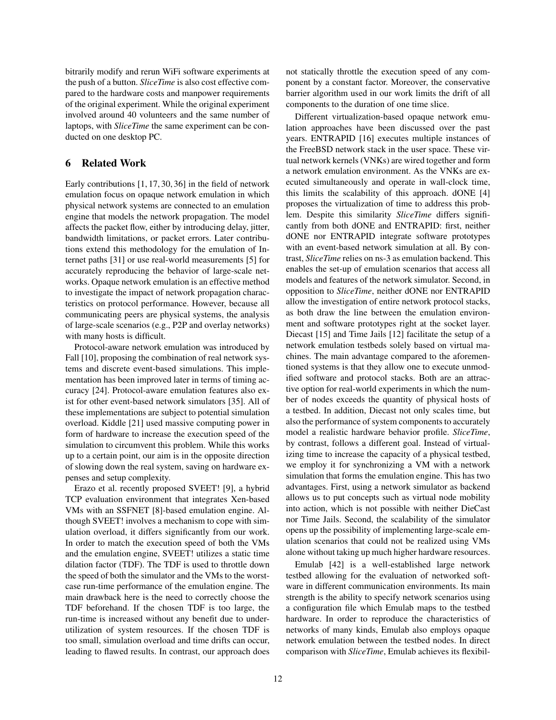bitrarily modify and rerun WiFi software experiments at the push of a button. *SliceTime* is also cost effective compared to the hardware costs and manpower requirements of the original experiment. While the original experiment involved around 40 volunteers and the same number of laptops, with *SliceTime* the same experiment can be conducted on one desktop PC.

## <span id="page-11-0"></span>6 Related Work

Early contributions [1, 17, 30, 36] in the field of network emulation focus on opaque network emulation in which physical network systems are connected to an emulation engine that models the network propagation. The model affects the packet flow, either by introducing delay, jitter, bandwidth limitations, or packet errors. Later contributions extend this methodology for the emulation of Internet paths [31] or use real-world measurements [5] for accurately reproducing the behavior of large-scale networks. Opaque network emulation is an effective method to investigate the impact of network propagation characteristics on protocol performance. However, because all communicating peers are physical systems, the analysis of large-scale scenarios (e.g., P2P and overlay networks) with many hosts is difficult.

Protocol-aware network emulation was introduced by Fall [10], proposing the combination of real network systems and discrete event-based simulations. This implementation has been improved later in terms of timing accuracy [24]. Protocol-aware emulation features also exist for other event-based network simulators [35]. All of these implementations are subject to potential simulation overload. Kiddle [21] used massive computing power in form of hardware to increase the execution speed of the simulation to circumvent this problem. While this works up to a certain point, our aim is in the opposite direction of slowing down the real system, saving on hardware expenses and setup complexity.

Erazo et al. recently proposed SVEET! [9], a hybrid TCP evaluation environment that integrates Xen-based VMs with an SSFNET [8]-based emulation engine. Although SVEET! involves a mechanism to cope with simulation overload, it differs significantly from our work. In order to match the execution speed of both the VMs and the emulation engine, SVEET! utilizes a static time dilation factor (TDF). The TDF is used to throttle down the speed of both the simulator and the VMs to the worstcase run-time performance of the emulation engine. The main drawback here is the need to correctly choose the TDF beforehand. If the chosen TDF is too large, the run-time is increased without any benefit due to underutilization of system resources. If the chosen TDF is too small, simulation overload and time drifts can occur, leading to flawed results. In contrast, our approach does not statically throttle the execution speed of any component by a constant factor. Moreover, the conservative barrier algorithm used in our work limits the drift of all components to the duration of one time slice.

Different virtualization-based opaque network emulation approaches have been discussed over the past years. ENTRAPID [16] executes multiple instances of the FreeBSD network stack in the user space. These virtual network kernels (VNKs) are wired together and form a network emulation environment. As the VNKs are executed simultaneously and operate in wall-clock time, this limits the scalability of this approach. dONE [4] proposes the virtualization of time to address this problem. Despite this similarity *SliceTime* differs significantly from both dONE and ENTRAPID: first, neither dONE nor ENTRAPID integrate software prototypes with an event-based network simulation at all. By contrast, *SliceTime* relies on ns-3 as emulation backend. This enables the set-up of emulation scenarios that access all models and features of the network simulator. Second, in opposition to *SliceTime*, neither dONE nor ENTRAPID allow the investigation of entire network protocol stacks, as both draw the line between the emulation environment and software prototypes right at the socket layer. Diecast [15] and Time Jails [12] facilitate the setup of a network emulation testbeds solely based on virtual machines. The main advantage compared to the aforementioned systems is that they allow one to execute unmodified software and protocol stacks. Both are an attractive option for real-world experiments in which the number of nodes exceeds the quantity of physical hosts of a testbed. In addition, Diecast not only scales time, but also the performance of system components to accurately model a realistic hardware behavior profile. *SliceTime*, by contrast, follows a different goal. Instead of virtualizing time to increase the capacity of a physical testbed, we employ it for synchronizing a VM with a network simulation that forms the emulation engine. This has two advantages. First, using a network simulator as backend allows us to put concepts such as virtual node mobility into action, which is not possible with neither DieCast nor Time Jails. Second, the scalability of the simulator opens up the possibility of implementing large-scale emulation scenarios that could not be realized using VMs alone without taking up much higher hardware resources.

Emulab [42] is a well-established large network testbed allowing for the evaluation of networked software in different communication environments. Its main strength is the ability to specify network scenarios using a configuration file which Emulab maps to the testbed hardware. In order to reproduce the characteristics of networks of many kinds, Emulab also employs opaque network emulation between the testbed nodes. In direct comparison with *SliceTime*, Emulab achieves its flexibil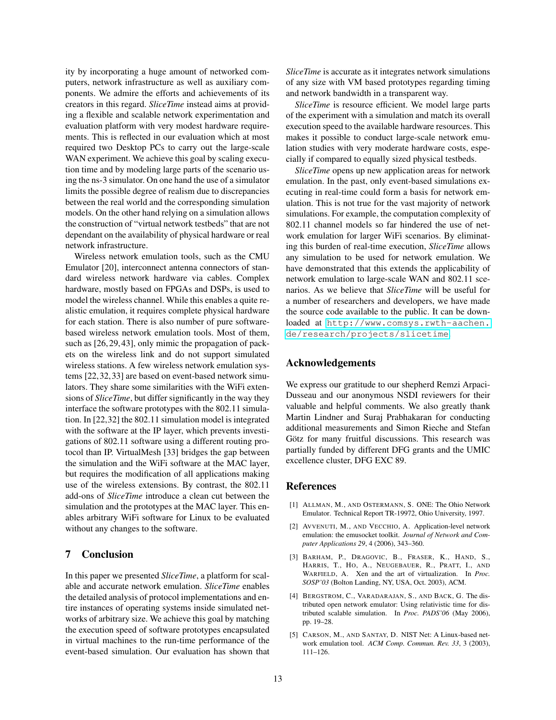ity by incorporating a huge amount of networked computers, network infrastructure as well as auxiliary components. We admire the efforts and achievements of its creators in this regard. *SliceTime* instead aims at providing a flexible and scalable network experimentation and evaluation platform with very modest hardware requirements. This is reflected in our evaluation which at most required two Desktop PCs to carry out the large-scale WAN experiment. We achieve this goal by scaling execution time and by modeling large parts of the scenario using the ns-3 simulator. On one hand the use of a simulator limits the possible degree of realism due to discrepancies between the real world and the corresponding simulation models. On the other hand relying on a simulation allows the construction of "virtual network testbeds" that are not dependant on the availability of physical hardware or real network infrastructure.

Wireless network emulation tools, such as the CMU Emulator [20], interconnect antenna connectors of standard wireless network hardware via cables. Complex hardware, mostly based on FPGAs and DSPs, is used to model the wireless channel. While this enables a quite realistic emulation, it requires complete physical hardware for each station. There is also number of pure softwarebased wireless network emulation tools. Most of them, such as [26, 29, 43], only mimic the propagation of packets on the wireless link and do not support simulated wireless stations. A few wireless network emulation systems [22,32,33] are based on event-based network simulators. They share some similarities with the WiFi extensions of *SliceTime*, but differ significantly in the way they interface the software prototypes with the 802.11 simulation. In [22,32] the 802.11 simulation model is integrated with the software at the IP layer, which prevents investigations of 802.11 software using a different routing protocol than IP. VirtualMesh [33] bridges the gap between the simulation and the WiFi software at the MAC layer, but requires the modification of all applications making use of the wireless extensions. By contrast, the 802.11 add-ons of *SliceTime* introduce a clean cut between the simulation and the prototypes at the MAC layer. This enables arbitrary WiFi software for Linux to be evaluated without any changes to the software.

# <span id="page-12-0"></span>7 Conclusion

In this paper we presented *SliceTime*, a platform for scalable and accurate network emulation. *SliceTime* enables the detailed analysis of protocol implementations and entire instances of operating systems inside simulated networks of arbitrary size. We achieve this goal by matching the execution speed of software prototypes encapsulated in virtual machines to the run-time performance of the event-based simulation. Our evaluation has shown that *SliceTime* is accurate as it integrates network simulations of any size with VM based prototypes regarding timing and network bandwidth in a transparent way.

*SliceTime* is resource efficient. We model large parts of the experiment with a simulation and match its overall execution speed to the available hardware resources. This makes it possible to conduct large-scale network emulation studies with very moderate hardware costs, especially if compared to equally sized physical testbeds.

*SliceTime* opens up new application areas for network emulation. In the past, only event-based simulations executing in real-time could form a basis for network emulation. This is not true for the vast majority of network simulations. For example, the computation complexity of 802.11 channel models so far hindered the use of network emulation for larger WiFi scenarios. By eliminating this burden of real-time execution, *SliceTime* allows any simulation to be used for network emulation. We have demonstrated that this extends the applicability of network emulation to large-scale WAN and 802.11 scenarios. As we believe that *SliceTime* will be useful for a number of researchers and developers, we have made the source code available to the public. It can be downloaded at [http://www.comsys.rwth-aachen.](http://www.comsys.rwth-aachen.de/research/projects/slicetime) [de/research/projects/slicetime](http://www.comsys.rwth-aachen.de/research/projects/slicetime).

## Acknowledgements

We express our gratitude to our shepherd Remzi Arpaci-Dusseau and our anonymous NSDI reviewers for their valuable and helpful comments. We also greatly thank Martin Lindner and Suraj Prabhakaran for conducting additional measurements and Simon Rieche and Stefan Götz for many fruitful discussions. This research was partially funded by different DFG grants and the UMIC excellence cluster, DFG EXC 89.

### References

- [1] ALLMAN, M., AND OSTERMANN, S. ONE: The Ohio Network Emulator. Technical Report TR-19972, Ohio University, 1997.
- [2] AVVENUTI, M., AND VECCHIO, A. Application-level network emulation: the emusocket toolkit. *Journal of Network and Computer Applications 29*, 4 (2006), 343–360.
- [3] BARHAM, P., DRAGOVIC, B., FRASER, K., HAND, S., HARRIS, T., HO, A., NEUGEBAUER, R., PRATT, I., AND WARFIELD, A. Xen and the art of virtualization. In *Proc. SOSP'03* (Bolton Landing, NY, USA, Oct. 2003), ACM.
- [4] BERGSTROM, C., VARADARAJAN, S., AND BACK, G. The distributed open network emulator: Using relativistic time for distributed scalable simulation. In *Proc. PADS'06* (May 2006), pp. 19–28.
- [5] CARSON, M., AND SANTAY, D. NIST Net: A Linux-based network emulation tool. *ACM Comp. Commun. Rev. 33*, 3 (2003), 111–126.